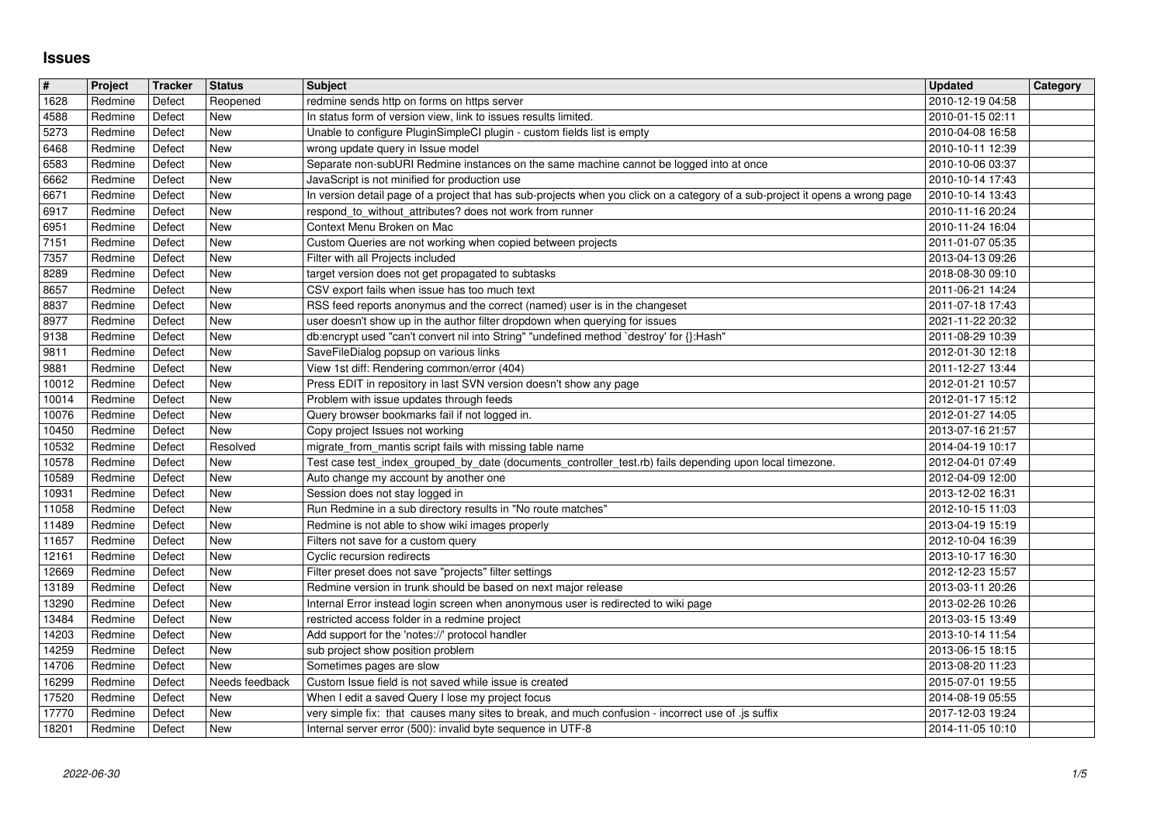## **Issues**

| $\sqrt{\frac{4}{15}}$ | Project            | Tracker          | <b>Status</b>                | <b>Subject</b>                                                                                                                                            | <b>Updated</b>                       | <b>Category</b> |
|-----------------------|--------------------|------------------|------------------------------|-----------------------------------------------------------------------------------------------------------------------------------------------------------|--------------------------------------|-----------------|
| $\sqrt{1628}$         | Redmine            | Defect           | Reopened                     | redmine sends http on forms on https server                                                                                                               | 2010-12-19 04:58                     |                 |
| 4588<br>5273          | Redmine<br>Redmine | Defect<br>Defect | New<br>New                   | In status form of version view, link to issues results limited.<br>Unable to configure PluginSimpleCI plugin - custom fields list is empty                | 2010-01-15 02:11<br>2010-04-08 16:58 |                 |
| 6468                  | Redmine            | Defect           | <b>New</b>                   | wrong update query in Issue model                                                                                                                         | 2010-10-11 12:39                     |                 |
| 6583                  | Redmine            | Defect           | <b>New</b>                   | Separate non-subURI Redmine instances on the same machine cannot be logged into at once                                                                   | 2010-10-06 03:37                     |                 |
| 6662                  | Redmine            | Defect           | <b>New</b>                   | JavaScript is not minified for production use                                                                                                             | 2010-10-14 17:43                     |                 |
| 6671                  | Redmine            | Defect           | New                          | In version detail page of a project that has sub-projects when you click on a category of a sub-project it opens a wrong page                             | 2010-10-14 13:43                     |                 |
| 6917<br>6951          | Redmine<br>Redmine | Defect<br>Defect | New<br>New                   | respond_to_without_attributes? does not work from runner<br>Context Menu Broken on Mac                                                                    | 2010-11-16 20:24<br>2010-11-24 16:04 |                 |
| $\overline{7151}$     | Redmine            | Defect           | New                          | Custom Queries are not working when copied between projects                                                                                               | 2011-01-07 05:35                     |                 |
| 7357                  | Redmine            | Defect           | New                          | Filter with all Projects included                                                                                                                         | 2013-04-13 09:26                     |                 |
| 8289                  | Redmine            | Defect           | New                          | target version does not get propagated to subtasks                                                                                                        | 2018-08-30 09:10                     |                 |
| 8657                  | Redmine            | Defect           | <b>New</b>                   | CSV export fails when issue has too much text                                                                                                             | 2011-06-21 14:24                     |                 |
| 8837<br>8977          | Redmine<br>Redmine | Defect<br>Defect | New<br>New                   | RSS feed reports anonymus and the correct (named) user is in the changeset<br>user doesn't show up in the author filter dropdown when querying for issues | 2011-07-18 17:43<br>2021-11-22 20:32 |                 |
| 9138                  | Redmine            | Defect           | New                          | db:encrypt used "can't convert nil into String" "undefined method `destroy' for {}:Hash"                                                                  | 2011-08-29 10:39                     |                 |
| 9811                  | Redmine            | Defect           | New                          | SaveFileDialog popsup on various links                                                                                                                    | 2012-01-30 12:18                     |                 |
| 9881                  | Redmine            | Defect           | New                          | View 1st diff: Rendering common/error (404)                                                                                                               | 2011-12-27 13:44                     |                 |
| 10012                 | Redmine<br>Redmine | Defect<br>Defect | New<br><b>New</b>            | Press EDIT in repository in last SVN version doesn't show any page<br>Problem with issue updates through feeds                                            | 2012-01-21 10:57<br>2012-01-17 15:12 |                 |
| 10014<br>10076        | Redmine            | Defect           | New                          | Query browser bookmarks fail if not logged in.                                                                                                            | 2012-01-27 14:05                     |                 |
| 10450                 | Redmine            | Defect           | <b>New</b>                   | Copy project Issues not working                                                                                                                           | 2013-07-16 21:57                     |                 |
| 10532                 | Redmine            | Defect           | Resolved                     | migrate_from_mantis script fails with missing table name                                                                                                  | 2014-04-19 10:17                     |                 |
| 10578                 | Redmine            | Defect           | <b>New</b>                   | Test case test_index_grouped_by_date (documents_controller_test.rb) fails depending upon local timezone.                                                  | 2012-04-01 07:49                     |                 |
| 10589<br>10931        | Redmine<br>Redmine | Defect<br>Defect | New<br>New                   | Auto change my account by another one<br>Session does not stay logged in                                                                                  | 2012-04-09 12:00<br>2013-12-02 16:31 |                 |
| 11058                 | Redmine            | Defect           | New                          | Run Redmine in a sub directory results in "No route matches"                                                                                              | 2012-10-15 11:03                     |                 |
| 11489                 | Redmine            | Defect           | <b>New</b>                   | Redmine is not able to show wiki images properly                                                                                                          | 2013-04-19 15:19                     |                 |
| 11657                 | Redmine            | Defect           | New                          | Filters not save for a custom query                                                                                                                       | 2012-10-04 16:39                     |                 |
| 12161                 | Redmine            | Defect           | New                          | Cyclic recursion redirects                                                                                                                                | 2013-10-17 16:30                     |                 |
| 12669<br>13189        | Redmine<br>Redmine | Defect<br>Defect | New<br><b>New</b>            | Filter preset does not save "projects" filter settings<br>Redmine version in trunk should be based on next major release                                  | 2012-12-23 15:57<br>2013-03-11 20:26 |                 |
| 13290                 | Redmine            | Defect           | New                          | Internal Error instead login screen when anonymous user is redirected to wiki page                                                                        | 2013-02-26 10:26                     |                 |
| 13484                 | Redmine            | Defect           | New                          | restricted access folder in a redmine project                                                                                                             | 2013-03-15 13:49                     |                 |
| 14203                 | Redmine            | Defect           | New                          | Add support for the 'notes://' protocol handler                                                                                                           | 2013-10-14 11:54                     |                 |
| 14259                 | Redmine            | Defect           | New                          | sub project show position problem                                                                                                                         | 2013-06-15 18:15                     |                 |
| 14706<br>16299        | Redmine<br>Redmine | Defect<br>Defect | <b>New</b><br>Needs feedback | Sometimes pages are slow<br>Custom Issue field is not saved while issue is created                                                                        | 2013-08-20 11:23<br>2015-07-01 19:55 |                 |
| 17520                 | Redmine            | Defect           | New                          | When I edit a saved Query I lose my project focus                                                                                                         | 2014-08-19 05:55                     |                 |
| 17770                 | Redmine            | Defect           | New                          | very simple fix: that causes many sites to break, and much confusion - incorrect use of .js suffix                                                        | 2017-12-03 19:24                     |                 |
|                       |                    |                  |                              |                                                                                                                                                           |                                      |                 |
|                       |                    |                  |                              |                                                                                                                                                           |                                      |                 |
|                       |                    |                  |                              |                                                                                                                                                           |                                      |                 |
|                       |                    |                  |                              |                                                                                                                                                           |                                      |                 |
|                       |                    |                  |                              |                                                                                                                                                           |                                      |                 |
|                       |                    |                  |                              |                                                                                                                                                           |                                      |                 |
|                       |                    |                  |                              |                                                                                                                                                           |                                      |                 |
|                       |                    |                  |                              |                                                                                                                                                           |                                      |                 |
|                       |                    |                  |                              |                                                                                                                                                           |                                      |                 |
|                       |                    |                  |                              |                                                                                                                                                           |                                      |                 |
|                       |                    |                  |                              |                                                                                                                                                           |                                      |                 |
|                       |                    |                  |                              |                                                                                                                                                           |                                      |                 |
|                       |                    |                  |                              |                                                                                                                                                           |                                      |                 |
|                       |                    |                  |                              |                                                                                                                                                           |                                      |                 |
|                       |                    |                  |                              |                                                                                                                                                           |                                      |                 |
|                       |                    |                  |                              |                                                                                                                                                           |                                      |                 |
|                       |                    |                  |                              |                                                                                                                                                           |                                      |                 |
|                       |                    |                  |                              |                                                                                                                                                           |                                      |                 |
|                       |                    |                  |                              |                                                                                                                                                           |                                      |                 |
|                       |                    |                  |                              |                                                                                                                                                           |                                      |                 |
|                       |                    |                  |                              |                                                                                                                                                           |                                      |                 |
|                       |                    |                  |                              |                                                                                                                                                           |                                      |                 |
|                       |                    |                  |                              |                                                                                                                                                           |                                      |                 |
|                       |                    |                  |                              |                                                                                                                                                           |                                      |                 |
|                       |                    |                  |                              |                                                                                                                                                           |                                      |                 |
|                       |                    |                  |                              |                                                                                                                                                           |                                      |                 |
|                       |                    |                  |                              |                                                                                                                                                           |                                      |                 |
|                       |                    |                  |                              |                                                                                                                                                           |                                      |                 |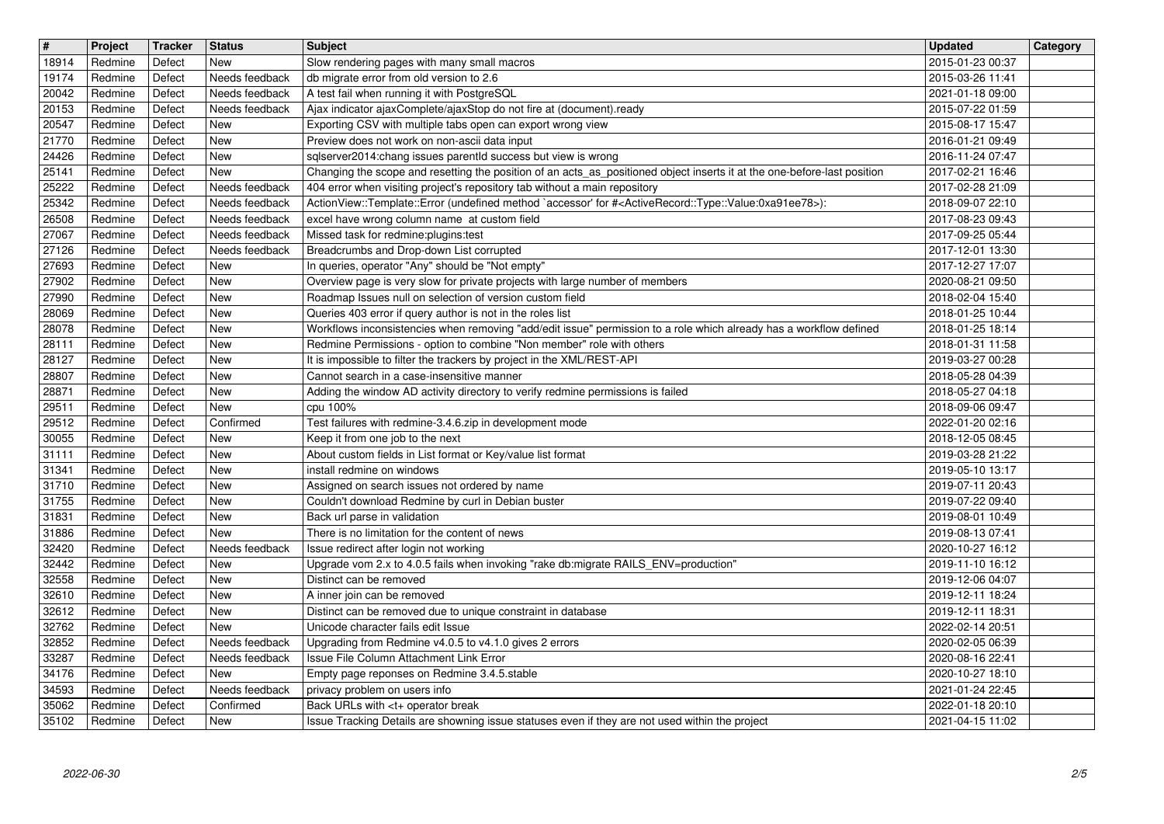| $\overline{\mathbf{H}}$ | Project            | Tracker          | Status                           | <b>Subject</b>                                                                                                                                                                                         | <b>Updated</b>                       | Category |
|-------------------------|--------------------|------------------|----------------------------------|--------------------------------------------------------------------------------------------------------------------------------------------------------------------------------------------------------|--------------------------------------|----------|
| 18914<br>19174          | Redmine<br>Redmine | Defect<br>Defect | New<br>Needs feedback            | Slow rendering pages with many small macros<br>db migrate error from old version to 2.6                                                                                                                | 2015-01-23 00:37<br>2015-03-26 11:41 |          |
| 20042                   | Redmine            | Defect           | Needs feedback                   | A test fail when running it with PostgreSQL                                                                                                                                                            | 2021-01-18 09:00                     |          |
| 20153                   | Redmine            | Defect           | Needs feedback                   | Ajax indicator ajaxComplete/ajaxStop do not fire at (document).ready                                                                                                                                   | 2015-07-22 01:59                     |          |
| 20547<br>21770          | Redmine<br>Redmine | Defect<br>Defect | New<br><b>New</b>                | Exporting CSV with multiple tabs open can export wrong view<br>Preview does not work on non-ascii data input                                                                                           | 2015-08-17 15:47<br>2016-01-21 09:49 |          |
| 24426                   | Redmine            | Defect           | New                              | sqlserver2014:chang issues parentld success but view is wrong                                                                                                                                          | 2016-11-24 07:47                     |          |
| 25141<br>25222          | Redmine<br>Redmine | Defect<br>Defect | New<br>Needs feedback            | Changing the scope and resetting the position of an acts_as_positioned object inserts it at the one-before-last position<br>404 error when visiting project's repository tab without a main repository | 2017-02-21 16:46<br>2017-02-28 21:09 |          |
| 25342                   | Redmine            | Defect           | Needs feedback                   | ActionView::Template::Error (undefined method `accessor' for # <activerecord::type::value:0xa91ee78>):</activerecord::type::value:0xa91ee78>                                                           | 2018-09-07 22:10                     |          |
| 26508                   | Redmine            | Defect           | Needs feedback                   | excel have wrong column name at custom field                                                                                                                                                           | 2017-08-23 09:43                     |          |
| 27067<br>27126          | Redmine<br>Redmine | Defect<br>Defect | Needs feedback<br>Needs feedback | Missed task for redmine: plugins: test<br>Breadcrumbs and Drop-down List corrupted                                                                                                                     | 2017-09-25 05:44<br>2017-12-01 13:30 |          |
| 27693                   | Redmine            | Defect           | New                              | In queries, operator "Any" should be "Not empty"                                                                                                                                                       | 2017-12-27 17:07                     |          |
| 27902<br>27990          | Redmine<br>Redmine | Defect<br>Defect | New<br>New                       | Overview page is very slow for private projects with large number of members<br>Roadmap Issues null on selection of version custom field                                                               | 2020-08-21 09:50<br>2018-02-04 15:40 |          |
| 28069                   | Redmine            | Defect           | New                              | Queries 403 error if query author is not in the roles list                                                                                                                                             | 2018-01-25 10:44                     |          |
| 28078                   | Redmine<br>Redmine | Defect<br>Defect | <b>New</b><br><b>New</b>         | Workflows inconsistencies when removing "add/edit issue" permission to a role which already has a workflow defined<br>Redmine Permissions - option to combine "Non member" role with others            | 2018-01-25 18:14<br>2018-01-31 11:58 |          |
| 28111<br>28127          | Redmine            | Defect           | <b>New</b>                       | It is impossible to filter the trackers by project in the XML/REST-API                                                                                                                                 | 2019-03-27 00:28                     |          |
| 28807                   | Redmine            | Defect           | New                              | Cannot search in a case-insensitive manner                                                                                                                                                             | 2018-05-28 04:39                     |          |
| 28871<br>29511          | Redmine<br>Redmine | Defect<br>Defect | <b>New</b><br>New                | Adding the window AD activity directory to verify redmine permissions is failed<br>cpu 100%                                                                                                            | 2018-05-27 04:18<br>2018-09-06 09:47 |          |
| 29512                   | Redmine            | Defect           | Confirmed                        | Test failures with redmine-3.4.6.zip in development mode                                                                                                                                               | 2022-01-20 02:16                     |          |
| 30055<br>31111          | Redmine<br>Redmine | Defect<br>Defect | New<br>New                       | Keep it from one job to the next<br>About custom fields in List format or Key/value list format                                                                                                        | 2018-12-05 08:45<br>2019-03-28 21:22 |          |
| 31341                   | Redmine            | Defect           | New                              | install redmine on windows                                                                                                                                                                             | 2019-05-10 13:17                     |          |
| 31710                   | Redmine            | Defect           | <b>New</b>                       | Assigned on search issues not ordered by name                                                                                                                                                          | 2019-07-11 20:43                     |          |
| 31755<br>31831          | Redmine<br>Redmine | Defect<br>Defect | <b>New</b><br>New                | Couldn't download Redmine by curl in Debian buster<br>Back url parse in validation                                                                                                                     | 2019-07-22 09:40<br>2019-08-01 10:49 |          |
| 31886                   | Redmine            | Defect           | New                              | There is no limitation for the content of news                                                                                                                                                         | 2019-08-13 07:41                     |          |
| 32420<br>32442          | Redmine<br>Redmine | Defect<br>Defect | Needs feedback<br>New            | Issue redirect after login not working<br>Upgrade vom 2.x to 4.0.5 fails when invoking "rake db:migrate RAILS_ENV=production"                                                                          | 2020-10-27 16:12<br>2019-11-10 16:12 |          |
| 32558                   | Redmine            | Defect           | New                              | Distinct can be removed                                                                                                                                                                                | 2019-12-06 04:07                     |          |
| 32610<br>32612          | Redmine<br>Redmine | Defect<br>Defect | New<br>New                       | A inner join can be removed<br>Distinct can be removed due to unique constraint in database                                                                                                            | 2019-12-11 18:24<br>2019-12-11 18:31 |          |
| 32762                   | Redmine            | Defect           | New                              | Unicode character fails edit Issue                                                                                                                                                                     | 2022-02-14 20:51                     |          |
| 32852                   | Redmine            | Defect           | Needs feedback                   | Upgrading from Redmine v4.0.5 to v4.1.0 gives 2 errors                                                                                                                                                 | 2020-02-05 06:39                     |          |
| 33287<br>34176          | Redmine<br>Redmine | Defect<br>Defect | Needs feedback<br>New            | Issue File Column Attachment Link Error<br>Empty page reponses on Redmine 3.4.5.stable                                                                                                                 | 2020-08-16 22:41<br>2020-10-27 18:10 |          |
| 34593                   | Redmine            | Defect           | Needs feedback                   | privacy problem on users info                                                                                                                                                                          | 2021-01-24 22:45                     |          |
| 35062<br>35102          | Redmine<br>Redmine | Defect<br>Defect | Confirmed<br>New                 | Back URLs with <t+ break<br="" operator="">Issue Tracking Details are showning issue statuses even if they are not used within the project</t+>                                                        | 2022-01-18 20:10<br>2021-04-15 11:02 |          |
|                         |                    |                  |                                  |                                                                                                                                                                                                        |                                      |          |
|                         |                    |                  |                                  |                                                                                                                                                                                                        |                                      |          |
|                         |                    |                  |                                  |                                                                                                                                                                                                        |                                      |          |
|                         |                    |                  |                                  |                                                                                                                                                                                                        |                                      |          |
|                         |                    |                  |                                  |                                                                                                                                                                                                        |                                      |          |
|                         |                    |                  |                                  |                                                                                                                                                                                                        |                                      |          |
|                         |                    |                  |                                  |                                                                                                                                                                                                        |                                      |          |
|                         |                    |                  |                                  |                                                                                                                                                                                                        |                                      |          |
|                         |                    |                  |                                  |                                                                                                                                                                                                        |                                      |          |
|                         |                    |                  |                                  |                                                                                                                                                                                                        |                                      |          |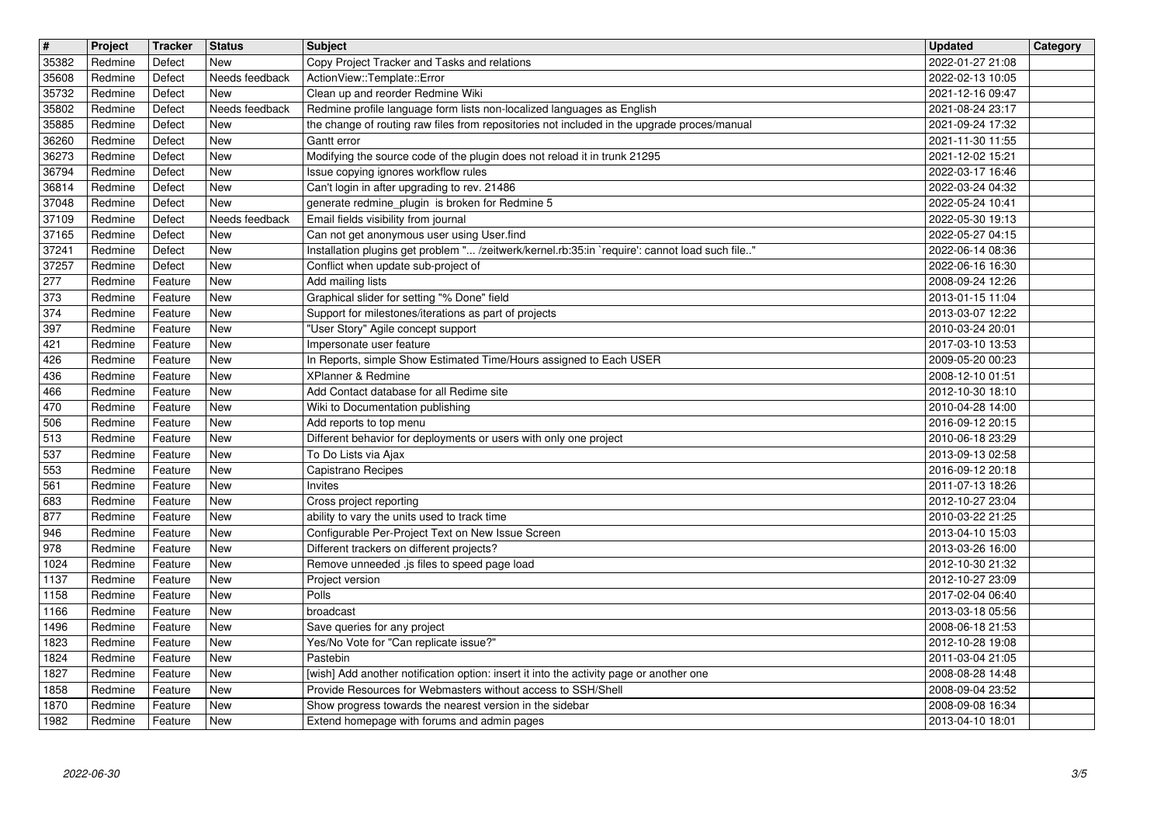| $\overline{\mathbf{H}}$ | Project            | Tracker            | <b>Status</b><br>New     | <b>Subject</b>                                                                                                                                          | <b>Updated</b>                       | Category |
|-------------------------|--------------------|--------------------|--------------------------|---------------------------------------------------------------------------------------------------------------------------------------------------------|--------------------------------------|----------|
| 35382<br>35608          | Redmine<br>Redmine | Defect<br>Defect   | Needs feedback           | Copy Project Tracker and Tasks and relations<br>ActionView::Template::Error                                                                             | 2022-01-27 21:08<br>2022-02-13 10:05 |          |
| 35732<br>35802          | Redmine<br>Redmine | Defect<br>Defect   | New<br>Needs feedback    | Clean up and reorder Redmine Wiki<br>Redmine profile language form lists non-localized languages as English                                             | 2021-12-16 09:47<br>2021-08-24 23:17 |          |
| 35885                   | Redmine            | Defect             | New                      | the change of routing raw files from repositories not included in the upgrade proces/manual                                                             | 2021-09-24 17:32                     |          |
| 36260<br>36273          | Redmine<br>Redmine | Defect<br>Defect   | <b>New</b><br><b>New</b> | Gantt error<br>Modifying the source code of the plugin does not reload it in trunk 21295                                                                | 2021-11-30 11:55<br>2021-12-02 15:21 |          |
| 36794                   | Redmine            | Defect             | <b>New</b>               | Issue copying ignores workflow rules                                                                                                                    | 2022-03-17 16:46                     |          |
| 36814<br>37048          | Redmine<br>Redmine | Defect<br>Defect   | <b>New</b><br>New        | Can't login in after upgrading to rev. 21486<br>generate redmine_plugin is broken for Redmine 5                                                         | 2022-03-24 04:32<br>2022-05-24 10:41 |          |
| 37109                   | Redmine            | Defect             | Needs feedback           | Email fields visibility from journal                                                                                                                    | 2022-05-30 19:13                     |          |
| 37165<br>37241          | Redmine<br>Redmine | Defect<br>Defect   | <b>New</b><br><b>New</b> | Can not get anonymous user using User.find<br>Installation plugins get problem " /zeitwerk/kernel.rb:35:in `require': cannot load such file"            | 2022-05-27 04:15<br>2022-06-14 08:36 |          |
| 37257                   | Redmine            | Defect             | <b>New</b>               | Conflict when update sub-project of                                                                                                                     | 2022-06-16 16:30                     |          |
| 277<br>373              | Redmine<br>Redmine | Feature<br>Feature | <b>New</b><br><b>New</b> | Add mailing lists<br>Graphical slider for setting "% Done" field                                                                                        | 2008-09-24 12:26<br>2013-01-15 11:04 |          |
| 374                     | Redmine            | Feature            | <b>New</b>               | Support for milestones/iterations as part of projects                                                                                                   | 2013-03-07 12:22                     |          |
| 397<br>421              | Redmine<br>Redmine | Feature<br>Feature | <b>New</b><br><b>New</b> | "User Story" Agile concept support<br>Impersonate user feature                                                                                          | 2010-03-24 20:01<br>2017-03-10 13:53 |          |
| 426                     | Redmine            | Feature            | <b>New</b>               | In Reports, simple Show Estimated Time/Hours assigned to Each USER                                                                                      | 2009-05-20 00:23                     |          |
| 436<br>466              | Redmine<br>Redmine | Feature<br>Feature | <b>New</b><br><b>New</b> | XPlanner & Redmine<br>Add Contact database for all Redime site                                                                                          | 2008-12-10 01:51<br>2012-10-30 18:10 |          |
| 470                     | Redmine            | Feature            | New                      | Wiki to Documentation publishing                                                                                                                        | 2010-04-28 14:00                     |          |
| 506<br>513              | Redmine<br>Redmine | Feature<br>Feature | <b>New</b><br><b>New</b> | Add reports to top menu<br>Different behavior for deployments or users with only one project                                                            | 2016-09-12 20:15<br>2010-06-18 23:29 |          |
| 537                     | Redmine            | Feature            | <b>New</b>               | To Do Lists via Ajax                                                                                                                                    | 2013-09-13 02:58                     |          |
| 553<br>561              | Redmine<br>Redmine | Feature<br>Feature | <b>New</b><br><b>New</b> | Capistrano Recipes<br>Invites                                                                                                                           | 2016-09-12 20:18<br>2011-07-13 18:26 |          |
| 683                     | Redmine            | Feature            | <b>New</b>               | Cross project reporting                                                                                                                                 | 2012-10-27 23:04                     |          |
| 877                     | Redmine<br>Redmine | Feature            | <b>New</b><br><b>New</b> | ability to vary the units used to track time<br>Configurable Per-Project Text on New Issue Screen                                                       | 2010-03-22 21:25                     |          |
| 946<br>978              | Redmine            | Feature<br>Feature | <b>New</b>               | Different trackers on different projects?                                                                                                               | 2013-04-10 15:03<br>2013-03-26 16:00 |          |
| 1024                    | Redmine            | Feature            | <b>New</b>               | Remove unneeded .js files to speed page load                                                                                                            | 2012-10-30 21:32                     |          |
| 1137<br>1158            | Redmine<br>Redmine | Feature<br>Feature | <b>New</b><br><b>New</b> | Project version<br>Polls                                                                                                                                | 2012-10-27 23:09<br>2017-02-04 06:40 |          |
| 1166                    | Redmine            | Feature            | New                      | broadcast                                                                                                                                               | 2013-03-18 05:56                     |          |
| 1496<br>1823            | Redmine<br>Redmine | Feature<br>Feature | New<br>New               | Save queries for any project<br>Yes/No Vote for "Can replicate issue?"                                                                                  | 2008-06-18 21:53<br>2012-10-28 19:08 |          |
| 1824                    | Redmine            | Feature            | New                      | Pastebin                                                                                                                                                | 2011-03-04 21:05                     |          |
| 1827<br>1858            | Redmine<br>Redmine | Feature<br>Feature | New<br>New               | [wish] Add another notification option: insert it into the activity page or another one<br>Provide Resources for Webmasters without access to SSH/Shell | 2008-08-28 14:48<br>2008-09-04 23:52 |          |
| 1870<br>1982            | Redmine<br>Redmine | Feature<br>Feature | New<br>New               | Show progress towards the nearest version in the sidebar<br>Extend homepage with forums and admin pages                                                 | 2008-09-08 16:34<br>2013-04-10 18:01 |          |
|                         |                    |                    |                          |                                                                                                                                                         |                                      |          |
|                         |                    |                    |                          |                                                                                                                                                         |                                      |          |
|                         |                    |                    |                          |                                                                                                                                                         |                                      |          |
|                         |                    |                    |                          |                                                                                                                                                         |                                      |          |
|                         |                    |                    |                          |                                                                                                                                                         |                                      |          |
|                         |                    |                    |                          |                                                                                                                                                         |                                      |          |
|                         |                    |                    |                          |                                                                                                                                                         |                                      |          |
|                         |                    |                    |                          |                                                                                                                                                         |                                      |          |
|                         |                    |                    |                          |                                                                                                                                                         |                                      |          |
|                         |                    |                    |                          |                                                                                                                                                         |                                      |          |
|                         |                    |                    |                          |                                                                                                                                                         |                                      |          |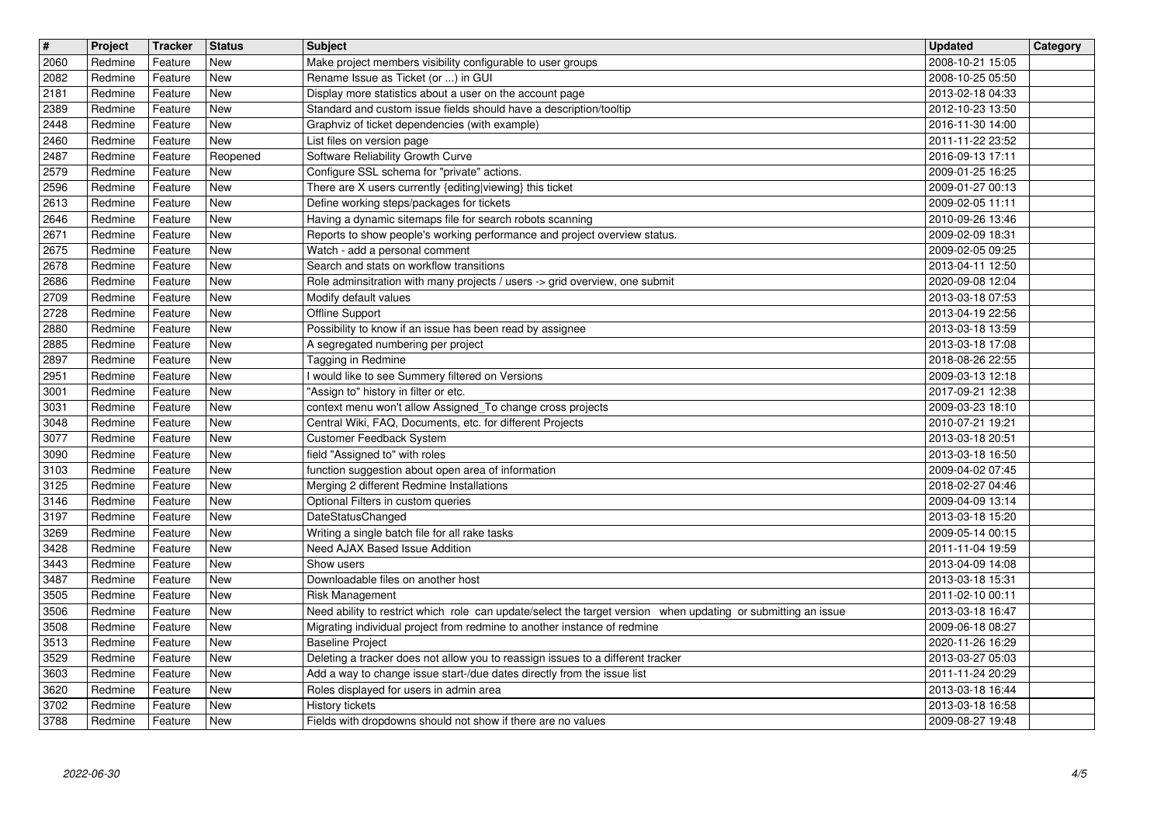| $\overline{\mathbf{r}}$ | Project            | Tracker            | <b>Status</b>            | <b>Subject</b>                                                                                                                         | <b>Updated</b>                       | Category |
|-------------------------|--------------------|--------------------|--------------------------|----------------------------------------------------------------------------------------------------------------------------------------|--------------------------------------|----------|
| 2060<br>2082            | Redmine<br>Redmine | Feature<br>Feature | New<br><b>New</b>        | Make project members visibility configurable to user groups<br>Rename Issue as Ticket (or ) in GUI                                     | 2008-10-21 15:05<br>2008-10-25 05:50 |          |
| 2181                    | Redmine            | Feature            | <b>New</b>               | Display more statistics about a user on the account page                                                                               | 2013-02-18 04:33                     |          |
| 2389                    | Redmine            | Feature            | New<br><b>New</b>        | Standard and custom issue fields should have a description/tooltip                                                                     | 2012-10-23 13:50                     |          |
| 2448<br>$\sqrt{2460}$   | Redmine<br>Redmine | Feature<br>Feature | New                      | Graphviz of ticket dependencies (with example)<br>List files on version page                                                           | 2016-11-30 14:00<br>2011-11-22 23:52 |          |
| 2487                    | Redmine            | Feature            | Reopened                 | Software Reliability Growth Curve                                                                                                      | 2016-09-13 17:11                     |          |
| 2579<br>2596            | Redmine<br>Redmine | Feature<br>Feature | New<br><b>New</b>        | Configure SSL schema for "private" actions.<br>There are X users currently {editing viewing} this ticket                               | 2009-01-25 16:25<br>2009-01-27 00:13 |          |
| 2613                    | Redmine            | Feature            | <b>New</b>               | Define working steps/packages for tickets                                                                                              | 2009-02-05 11:11                     |          |
| 2646<br>2671            | Redmine<br>Redmine | Feature<br>Feature | <b>New</b><br><b>New</b> | Having a dynamic sitemaps file for search robots scanning<br>Reports to show people's working performance and project overview status. | 2010-09-26 13:46<br>2009-02-09 18:31 |          |
| 2675                    | Redmine            | Feature            | New                      | Watch - add a personal comment                                                                                                         | 2009-02-05 09:25                     |          |
| 2678                    | Redmine            | Feature            | <b>New</b>               | Search and stats on workflow transitions                                                                                               | 2013-04-11 12:50                     |          |
| 2686<br>2709            | Redmine<br>Redmine | Feature<br>Feature | <b>New</b><br><b>New</b> | Role adminsitration with many projects / users -> grid overview, one submit<br>Modify default values                                   | 2020-09-08 12:04<br>2013-03-18 07:53 |          |
| 2728                    | Redmine            | Feature            | <b>New</b>               | Offline Support                                                                                                                        | 2013-04-19 22:56                     |          |
| 2880                    | Redmine<br>Redmine | Feature            | <b>New</b>               | Possibility to know if an issue has been read by assignee                                                                              | 2013-03-18 13:59                     |          |
| 2885<br>2897            | Redmine            | Feature<br>Feature | <b>New</b><br>New        | A segregated numbering per project<br>Tagging in Redmine                                                                               | 2013-03-18 17:08<br>2018-08-26 22:55 |          |
| 2951                    | Redmine            | Feature            | <b>New</b>               | I would like to see Summery filtered on Versions                                                                                       | 2009-03-13 12:18                     |          |
| 3001<br>3031            | Redmine<br>Redmine | Feature<br>Feature | <b>New</b><br><b>New</b> | "Assign to" history in filter or etc.<br>context menu won't allow Assigned_To change cross projects                                    | 2017-09-21 12:38<br>2009-03-23 18:10 |          |
| 3048                    | Redmine            | Feature            | <b>New</b>               | Central Wiki, FAQ, Documents, etc. for different Projects                                                                              | 2010-07-21 19:21                     |          |
| 3077                    | Redmine            | Feature            | New                      | Customer Feedback System                                                                                                               | 2013-03-18 20:51                     |          |
| 3090<br>3103            | Redmine<br>Redmine | Feature<br>Feature | <b>New</b><br><b>New</b> | field "Assigned to" with roles<br>function suggestion about open area of information                                                   | 2013-03-18 16:50<br>2009-04-02 07:45 |          |
| 3125                    | Redmine            | Feature            | <b>New</b>               | Merging 2 different Redmine Installations                                                                                              | 2018-02-27 04:46                     |          |
| 3146                    | Redmine            | Feature            | New                      | Optional Filters in custom queries                                                                                                     | 2009-04-09 13:14                     |          |
| 3197<br>3269            | Redmine<br>Redmine | Feature<br>Feature | New<br><b>New</b>        | DateStatusChanged<br>Writing a single batch file for all rake tasks                                                                    | 2013-03-18 15:20<br>2009-05-14 00:15 |          |
| 3428                    | Redmine            | Feature            | <b>New</b>               | Need AJAX Based Issue Addition                                                                                                         | 2011-11-04 19:59                     |          |
| 3443<br>3487            | Redmine<br>Redmine | Feature<br>Feature | <b>New</b><br><b>New</b> | Show users<br>Downloadable files on another host                                                                                       | 2013-04-09 14:08<br>2013-03-18 15:31 |          |
| 3505                    | Redmine            | Feature            | New                      | Risk Management                                                                                                                        | 2011-02-10 00:11                     |          |
| 3506                    | Redmine            | Feature            | <b>New</b>               | Need ability to restrict which role can update/select the target version when updating or submitting an issue                          | 2013-03-18 16:47                     |          |
| 3508<br>3513            | Redmine<br>Redmine | Feature<br>Feature | <b>New</b><br>New        | Migrating individual project from redmine to another instance of redmine<br><b>Baseline Project</b>                                    | 2009-06-18 08:27<br>2020-11-26 16:29 |          |
| 3529                    | Redmine            | Feature            | New                      | Deleting a tracker does not allow you to reassign issues to a different tracker                                                        | 2013-03-27 05:03                     |          |
| 3603                    | Redmine            | Feature            | <b>New</b>               | Add a way to change issue start-/due dates directly from the issue list                                                                | 2011-11-24 20:29                     |          |
| 3620<br>3702            | Redmine<br>Redmine | Feature<br>Feature | New<br>New               | Roles displayed for users in admin area<br>History tickets                                                                             | 2013-03-18 16:44<br>2013-03-18 16:58 |          |
| 3788                    | Redmine            | Feature            | New                      | Fields with dropdowns should not show if there are no values                                                                           | 2009-08-27 19:48                     |          |
|                         |                    |                    |                          |                                                                                                                                        |                                      |          |
|                         |                    |                    |                          |                                                                                                                                        |                                      |          |
|                         |                    |                    |                          |                                                                                                                                        |                                      |          |
|                         |                    |                    |                          |                                                                                                                                        |                                      |          |
|                         |                    |                    |                          |                                                                                                                                        |                                      |          |
|                         |                    |                    |                          |                                                                                                                                        |                                      |          |
|                         |                    |                    |                          |                                                                                                                                        |                                      |          |
|                         |                    |                    |                          |                                                                                                                                        |                                      |          |
|                         |                    |                    |                          |                                                                                                                                        |                                      |          |
|                         |                    |                    |                          |                                                                                                                                        |                                      |          |
|                         |                    |                    |                          |                                                                                                                                        |                                      |          |